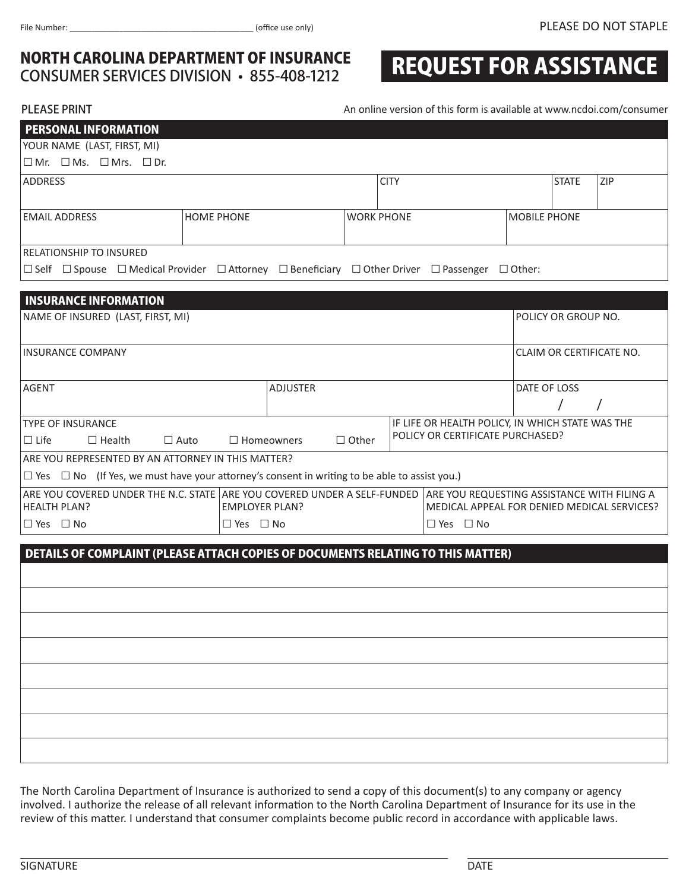# **NORTH CAROLINA DEPARTMENT OF INSURANCE**<br>CONSUMER SERVICES DIVISION • 855-408-1212

## REQUEST FOR ASSISTANCE

PLEASE PRINT **PLEASE PRINT An online version of this form is available at www.ncdoi.com/consumer** 

| <b>PERSONAL INFORMATION</b>                                                                                                                                          |                   |                   |                   |                                             |                                                  |                          |                     |            |  |  |  |  |
|----------------------------------------------------------------------------------------------------------------------------------------------------------------------|-------------------|-------------------|-------------------|---------------------------------------------|--------------------------------------------------|--------------------------|---------------------|------------|--|--|--|--|
| YOUR NAME (LAST, FIRST, MI)                                                                                                                                          |                   |                   |                   |                                             |                                                  |                          |                     |            |  |  |  |  |
| $\Box$ Mr. $\Box$ Ms. $\Box$ Mrs. $\Box$ Dr.                                                                                                                         |                   |                   |                   |                                             |                                                  |                          |                     |            |  |  |  |  |
| <b>ADDRESS</b>                                                                                                                                                       |                   |                   | <b>CITY</b>       |                                             |                                                  |                          | <b>STATE</b>        | <b>ZIP</b> |  |  |  |  |
| <b>EMAIL ADDRESS</b>                                                                                                                                                 | <b>HOME PHONE</b> |                   | <b>WORK PHONE</b> |                                             | <b>MOBILE PHONE</b>                              |                          |                     |            |  |  |  |  |
| RELATIONSHIP TO INSURED                                                                                                                                              |                   |                   |                   |                                             |                                                  |                          |                     |            |  |  |  |  |
| $\Box$ Self $\Box$ Spouse $\Box$ Medical Provider $\Box$ Attorney $\Box$ Beneficiary $\Box$ Other Driver $\Box$ Passenger $\Box$ Other:                              |                   |                   |                   |                                             |                                                  |                          |                     |            |  |  |  |  |
|                                                                                                                                                                      |                   |                   |                   |                                             |                                                  |                          |                     |            |  |  |  |  |
| <b>INSURANCE INFORMATION</b>                                                                                                                                         |                   |                   |                   |                                             |                                                  |                          |                     |            |  |  |  |  |
| NAME OF INSURED (LAST, FIRST, MI)                                                                                                                                    |                   |                   |                   |                                             |                                                  |                          | POLICY OR GROUP NO. |            |  |  |  |  |
| <b>INSURANCE COMPANY</b>                                                                                                                                             |                   |                   |                   |                                             |                                                  | CLAIM OR CERTIFICATE NO. |                     |            |  |  |  |  |
| <b>ADJUSTER</b><br><b>AGENT</b>                                                                                                                                      |                   |                   |                   |                                             |                                                  | DATE OF LOSS             |                     |            |  |  |  |  |
|                                                                                                                                                                      |                   |                   |                   |                                             |                                                  |                          |                     |            |  |  |  |  |
| <b>TYPE OF INSURANCE</b>                                                                                                                                             |                   |                   |                   |                                             | IF LIFE OR HEALTH POLICY, IN WHICH STATE WAS THE |                          |                     |            |  |  |  |  |
| $\Box$ Life<br>$\Box$ Health                                                                                                                                         | $\Box$ Auto       | $\Box$ Homeowners | $\Box$ Other      |                                             | POLICY OR CERTIFICATE PURCHASED?                 |                          |                     |            |  |  |  |  |
| ARE YOU REPRESENTED BY AN ATTORNEY IN THIS MATTER?                                                                                                                   |                   |                   |                   |                                             |                                                  |                          |                     |            |  |  |  |  |
| $\Box$ Yes $\Box$ No (If Yes, we must have your attorney's consent in writing to be able to assist you.)                                                             |                   |                   |                   |                                             |                                                  |                          |                     |            |  |  |  |  |
| ARE YOU COVERED UNDER THE N.C. STATE ARE YOU COVERED UNDER A SELF-FUNDED ARE YOU REQUESTING ASSISTANCE WITH FILING A<br><b>EMPLOYER PLAN?</b><br><b>HEALTH PLAN?</b> |                   |                   |                   | MEDICAL APPEAL FOR DENIED MEDICAL SERVICES? |                                                  |                          |                     |            |  |  |  |  |
| $\Box$ Yes $\Box$ No<br>$\Box$ Yes $\Box$ No<br>$\Box$ Yes $\Box$ No                                                                                                 |                   |                   |                   |                                             |                                                  |                          |                     |            |  |  |  |  |
|                                                                                                                                                                      |                   |                   |                   |                                             |                                                  |                          |                     |            |  |  |  |  |
| DETAILS OF COMPLAINT (PLEASE ATTACH COPIES OF DOCUMENTS RELATING TO THIS MATTER)                                                                                     |                   |                   |                   |                                             |                                                  |                          |                     |            |  |  |  |  |
|                                                                                                                                                                      |                   |                   |                   |                                             |                                                  |                          |                     |            |  |  |  |  |
|                                                                                                                                                                      |                   |                   |                   |                                             |                                                  |                          |                     |            |  |  |  |  |
|                                                                                                                                                                      |                   |                   |                   |                                             |                                                  |                          |                     |            |  |  |  |  |
|                                                                                                                                                                      |                   |                   |                   |                                             |                                                  |                          |                     |            |  |  |  |  |
|                                                                                                                                                                      |                   |                   |                   |                                             |                                                  |                          |                     |            |  |  |  |  |
|                                                                                                                                                                      |                   |                   |                   |                                             |                                                  |                          |                     |            |  |  |  |  |
|                                                                                                                                                                      |                   |                   |                   |                                             |                                                  |                          |                     |            |  |  |  |  |
|                                                                                                                                                                      |                   |                   |                   |                                             |                                                  |                          |                     |            |  |  |  |  |
|                                                                                                                                                                      |                   |                   |                   |                                             |                                                  |                          |                     |            |  |  |  |  |

The North Carolina Department of Insurance is authorized to send a copy of this document(s) to any company or agency involved. I authorize the release of all relevant information to the North Carolina Department of Insurance for its use in the review of this matter. I understand that consumer complaints become public record in accordance with applicable laws.